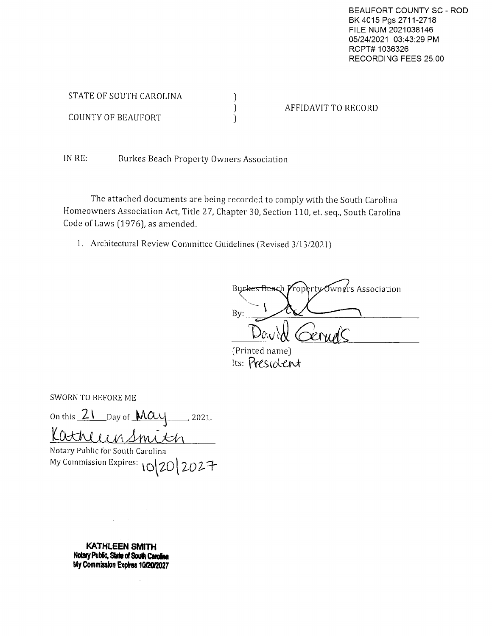BEAUFORT COUNTY SC - ROD BK 4015 Pgs 2711-2718 FILE NUM 2021038146 05/24/2021 03:43:29 PM RCPT# 1036326 RECORDING FEES 25.00

| STATE OF SOUTH CAROLINA |                     |
|-------------------------|---------------------|
|                         | AFFIDAVIT TO RECORD |
| COUNTY OF BEAUFORT      |                     |

IN RE: Burkes Beach Property Owners Association

The attached documents are being recorded to comply with the South Carolina Homeowners Association Act, Title 27, Chapter 30, Section 110, et. seq., South Carolina Code of Laws (1976), as amended.

1. Architectural Review Committee Guidelines (Revised 3/13/2021)

Burkes Beach Property Owners Association By:

(Printed name) Its: President

**SWORN TO BEFORE ME** 

On this 21 Day of MCU  $\frac{1}{2021}$ . KathleenSmitch

Notary Public for South Carolina My Commission Expires: 10 20 2027

> **KATHLEEN SMITH** Notary Public, State of South Carolina My Commission Expires 10/20/2027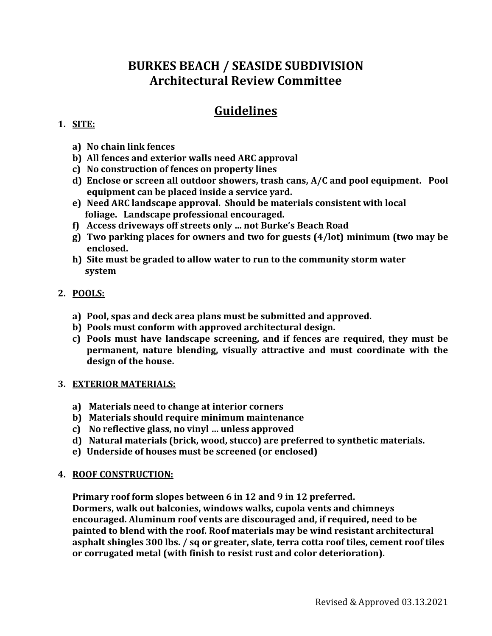# **Guidelines**

## **1. SITE:**

- **a) No chain link fences**
- **b) All fences and exterior walls need ARC approval**
- **c) No construction of fences on property lines**
- **d) Enclose or screen all outdoor showers, trash cans, A/C and pool equipment. Pool equipment can be placed inside a service yard.**
- **e) Need ARC landscape approval. Should be materials consistent with local foliage. Landscape professional encouraged.**
- **f) Access driveways off streets only … not Burke's Beach Road**
- **g) Two parking places for owners and two for guests (4/lot) minimum (two may be enclosed.**
- **h) Site must be graded to allow water to run to the community storm water system**

## **2. POOLS:**

- **a) Pool, spas and deck area plans must be submitted and approved.**
- **b) Pools must conform with approved architectural design.**
- **c) Pools must have landscape screening, and if fences are required, they must be permanent, nature blending, visually attractive and must coordinate with the design of the house.**

### **3. EXTERIOR MATERIALS:**

- **a) Materials need to change at interior corners**
- **b) Materials should require minimum maintenance**
- **c) No reflective glass, no vinyl … unless approved**
- **d) Natural materials (brick, wood, stucco) are preferred to synthetic materials.**
- **e) Underside of houses must be screened (or enclosed)**

### **4. ROOF CONSTRUCTION:**

**Primary roof form slopes between 6 in 12 and 9 in 12 preferred.** 

**Dormers, walk out balconies, windows walks, cupola vents and chimneys encouraged. Aluminum roof vents are discouraged and, if required, need to be painted to blend with the roof. Roof materials may be wind resistant architectural asphalt shingles 300 lbs. / sq or greater, slate, terra cotta roof tiles, cement roof tiles or corrugated metal (with finish to resist rust and color deterioration).**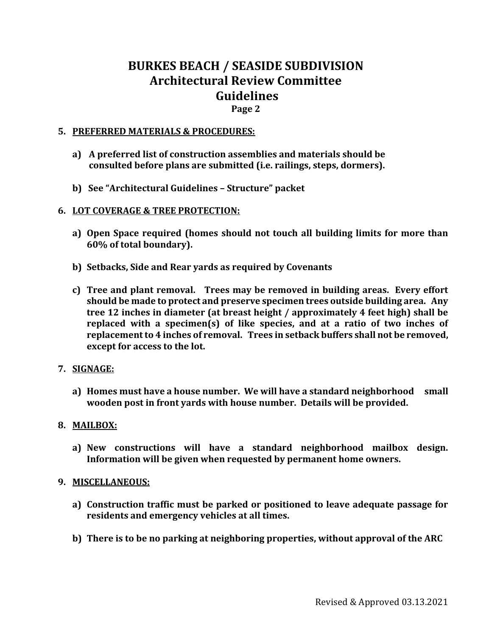## **Page 2**

### **5. PREFERRED MATERIALS & PROCEDURES:**

- **a) A preferred list of construction assemblies and materials should be consulted before plans are submitted (i.e. railings, steps, dormers).**
- **b) See "Architectural Guidelines – Structure" packet**

### **6. LOT COVERAGE & TREE PROTECTION:**

- **a) Open Space required (homes should not touch all building limits for more than 60% of total boundary).**
- **b) Setbacks, Side and Rear yards as required by Covenants**
- **c) Tree and plant removal. Trees may be removed in building areas. Every effort should be made to protect and preserve specimen trees outside building area. Any tree 12 inches in diameter (at breast height / approximately 4 feet high) shall be replaced with a specimen(s) of like species, and at a ratio of two inches of replacement to 4 inches of removal. Trees in setback buffers shall not be removed, except for access to the lot.**

#### **7. SIGNAGE:**

**a) Homes must have a house number. We will have a standard neighborhood small wooden post in front yards with house number. Details will be provided.**

#### **8. MAILBOX:**

**a) New constructions will have a standard neighborhood mailbox design. Information will be given when requested by permanent home owners.**

#### **9. MISCELLANEOUS:**

- **a) Construction traffic must be parked or positioned to leave adequate passage for residents and emergency vehicles at all times.**
- **b) There is to be no parking at neighboring properties, without approval of the ARC**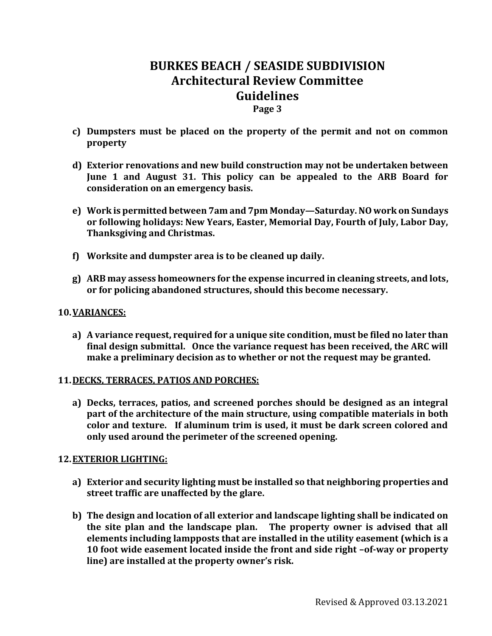### **Page 3**

- **c) Dumpsters must be placed on the property of the permit and not on common property**
- **d) Exterior renovations and new build construction may not be undertaken between June 1 and August 31. This policy can be appealed to the ARB Board for consideration on an emergency basis.**
- **e) Work is permitted between 7am and 7pm Monday—Saturday. NO work on Sundays or following holidays: New Years, Easter, Memorial Day, Fourth of July, Labor Day, Thanksgiving and Christmas.**
- **f) Worksite and dumpster area is to be cleaned up daily.**
- **g) ARB may assess homeowners for the expense incurred in cleaning streets, and lots, or for policing abandoned structures, should this become necessary.**

#### **10.VARIANCES:**

**a) A variance request, required for a unique site condition, must be filed no later than final design submittal. Once the variance request has been received, the ARC will make a preliminary decision as to whether or not the request may be granted.**

#### **11.DECKS, TERRACES, PATIOS AND PORCHES:**

**a) Decks, terraces, patios, and screened porches should be designed as an integral part of the architecture of the main structure, using compatible materials in both color and texture. If aluminum trim is used, it must be dark screen colored and only used around the perimeter of the screened opening.**

#### **12.EXTERIOR LIGHTING:**

- **a) Exterior and security lighting must be installed so that neighboring properties and street traffic are unaffected by the glare.**
- **b) The design and location of all exterior and landscape lighting shall be indicated on the site plan and the landscape plan. The property owner is advised that all elements including lampposts that are installed in the utility easement (which is a 10 foot wide easement located inside the front and side right –of-way or property line) are installed at the property owner's risk.**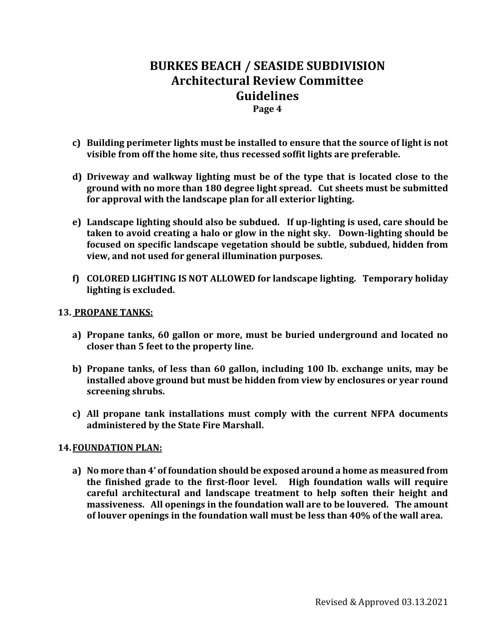### **Page 4**

- **c) Building perimeter lights must be installed to ensure that the source of light is not visible from off the home site, thus recessed soffit lights are preferable.**
- **d) Driveway and walkway lighting must be of the type that is located close to the ground with no more than 180 degree light spread. Cut sheets must be submitted for approval with the landscape plan for all exterior lighting.**
- **e) Landscape lighting should also be subdued. If up-lighting is used, care should be taken to avoid creating a halo or glow in the night sky. Down-lighting should be focused on specific landscape vegetation should be subtle, subdued, hidden from view, and not used for general illumination purposes.**
- **f) COLORED LIGHTING IS NOT ALLOWED for landscape lighting. Temporary holiday lighting is excluded.**

#### **13. PROPANE TANKS:**

- **a) Propane tanks, 60 gallon or more, must be buried underground and located no closer than 5 feet to the property line.**
- **b) Propane tanks, of less than 60 gallon, including 100 lb. exchange units, may be installed above ground but must be hidden from view by enclosures or year round screening shrubs.**
- **c) All propane tank installations must comply with the current NFPA documents administered by the State Fire Marshall.**

#### **14.FOUNDATION PLAN:**

**a) No more than 4' of foundation should be exposed around a home as measured from the finished grade to the first-floor level. High foundation walls will require careful architectural and landscape treatment to help soften their height and massiveness. All openings in the foundation wall are to be louvered. The amount of louver openings in the foundation wall must be less than 40% of the wall area.**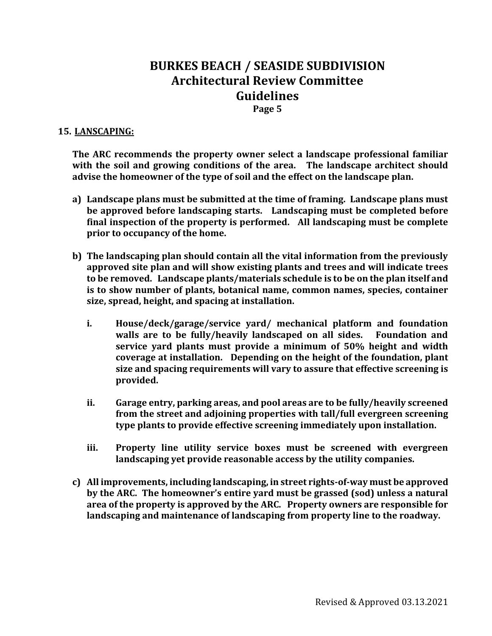**Page 5**

### **15. LANSCAPING:**

**The ARC recommends the property owner select a landscape professional familiar with the soil and growing conditions of the area. The landscape architect should advise the homeowner of the type of soil and the effect on the landscape plan.**

- **a) Landscape plans must be submitted at the time of framing. Landscape plans must be approved before landscaping starts. Landscaping must be completed before final inspection of the property is performed. All landscaping must be complete prior to occupancy of the home.**
- **b) The landscaping plan should contain all the vital information from the previously approved site plan and will show existing plants and trees and will indicate trees to be removed. Landscape plants/materials schedule is to be on the plan itself and is to show number of plants, botanical name, common names, species, container size, spread, height, and spacing at installation.**
	- **i. House/deck/garage/service yard/ mechanical platform and foundation walls are to be fully/heavily landscaped on all sides. Foundation and service yard plants must provide a minimum of 50% height and width coverage at installation. Depending on the height of the foundation, plant size and spacing requirements will vary to assure that effective screening is provided.**
	- **ii. Garage entry, parking areas, and pool areas are to be fully/heavily screened from the street and adjoining properties with tall/full evergreen screening type plants to provide effective screening immediately upon installation.**
	- **iii. Property line utility service boxes must be screened with evergreen landscaping yet provide reasonable access by the utility companies.**
- **c) All improvements, including landscaping, in street rights-of-way must be approved by the ARC. The homeowner's entire yard must be grassed (sod) unless a natural area of the property is approved by the ARC. Property owners are responsible for landscaping and maintenance of landscaping from property line to the roadway.**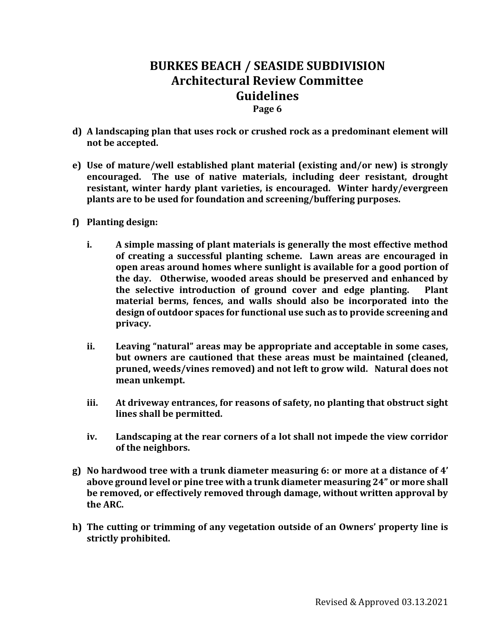#### **Page 6**

- **d) A landscaping plan that uses rock or crushed rock as a predominant element will not be accepted.**
- **e) Use of mature/well established plant material (existing and/or new) is strongly encouraged. The use of native materials, including deer resistant, drought resistant, winter hardy plant varieties, is encouraged. Winter hardy/evergreen plants are to be used for foundation and screening/buffering purposes.**
- **f) Planting design:**
	- **i. A simple massing of plant materials is generally the most effective method of creating a successful planting scheme. Lawn areas are encouraged in open areas around homes where sunlight is available for a good portion of the day. Otherwise, wooded areas should be preserved and enhanced by the selective introduction of ground cover and edge planting. Plant material berms, fences, and walls should also be incorporated into the design of outdoor spaces for functional use such as to provide screening and privacy.**
	- **ii. Leaving "natural" areas may be appropriate and acceptable in some cases, but owners are cautioned that these areas must be maintained (cleaned, pruned, weeds/vines removed) and not left to grow wild. Natural does not mean unkempt.**
	- **iii. At driveway entrances, for reasons of safety, no planting that obstruct sight lines shall be permitted.**
	- **iv. Landscaping at the rear corners of a lot shall not impede the view corridor of the neighbors.**
- **g) No hardwood tree with a trunk diameter measuring 6: or more at a distance of 4' above ground level or pine tree with a trunk diameter measuring 24" or more shall be removed, or effectively removed through damage, without written approval by the ARC.**
- **h) The cutting or trimming of any vegetation outside of an Owners' property line is strictly prohibited.**